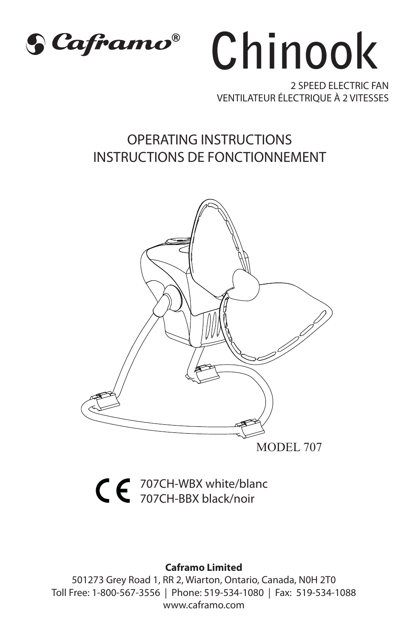



2 SPEED ELECTRIC FANVENTILATEUR ÉLECTRIQUE À 2 VITESSES

## OPERATING INSTRUCTIONSINSTRUCTIONS DE FONCTIONNEMENT



707CH-WBX white/blanc 707CH-BBX black/noir

#### **Caframo Limited**

501273 Grey Road 1, RR 2, Wiarton, Ontario, Canada, N0H 2T0 Toll Free: 1-800-567-3556 | Phone: 519-534-1080 | Fax: 519-534-1088 www.caframo.com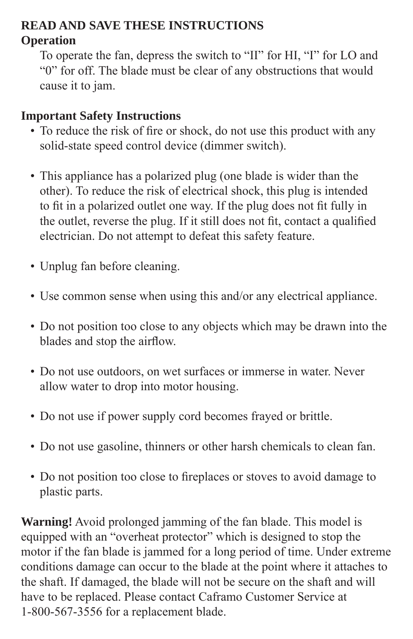### **READ AND SAVE THESE INSTRUCTIONSOperation**

 To operate the fan, depress the switch to "II" for HI, "I" for LO and "0" for off. The blade must be clear of any obstructions that would cause it to jam.

### **Important Safety Instructions**

- To reduce the risk of fire or shock, do not use this product with any solid-state speed control device (dimmer switch).
- This appliance has a polarized plug (one blade is wider than the other). To reduce the risk of electrical shock, this plug is intended to fit in a polarized outlet one way. If the plug does not fit fully in the outlet, reverse the plug. If it still does not fit, contact a qualified electrician. Do not attempt to defeat this safety feature.
	- Unplug fan before cleaning.
	- Use common sense when using this and/or any electrical appliance.
- Do not position too close to any objects which may be drawn into the blades and stop the airflow.
	- Do not use outdoors, on wet surfaces or immerse in water. Never allow water to drop into motor housing.
	- Do not use if power supply cord becomes frayed or brittle.
	- Do not use gasoline, thinners or other harsh chemicals to clean fan.
	- Do not position too close to fireplaces or stoves to avoid damage to plastic parts.

**Warning!** Avoid prolonged jamming of the fan blade. This model is equipped with an "overheat protector" which is designed to stop the motor if the fan blade is jammed for a long period of time. Under extreme conditions damage can occur to the blade at the point where it attaches to the shaft. If damaged, the blade will not be secure on the shaft and will have to be replaced. Please contact Caframo Customer Service at 1-800-567-3556 for a replacement blade.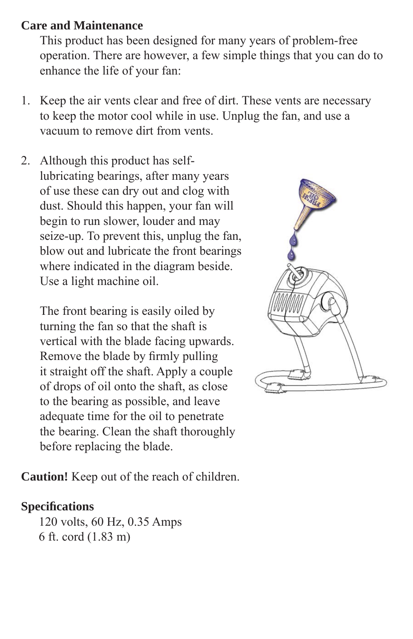### **Care and Maintenance**

 This product has been designed for many years of problem-free operation. There are however, a few simple things that you can do to enhance the life of your fan:

- 1. Keep the air vents clear and free of dirt. These vents are necessary to keep the motor cool while in use. Unplug the fan, and use a vacuum to remove dirt from vents.
- 2. Although this product has self lubricating bearings, after many years of use these can dry out and clog with dust. Should this happen, your fan will begin to run slower, louder and may seize-up. To prevent this, unplug the fan, blow out and lubricate the front bearings where indicated in the diagram beside. Use a light machine oil.

 The front bearing is easily oiled by turning the fan so that the shaft is vertical with the blade facing upwards. Remove the blade by firmly pulling it straight off the shaft. Apply a couple of drops of oil onto the shaft, as close to the bearing as possible, and leave adequate time for the oil to penetrate the bearing. Clean the shaft thoroughly before replacing the blade.

**Caution!** Keep out of the reach of children.

### **Specifi cations**

 120 volts, 60 Hz, 0.35 Amps 6 ft. cord (1.83 m)

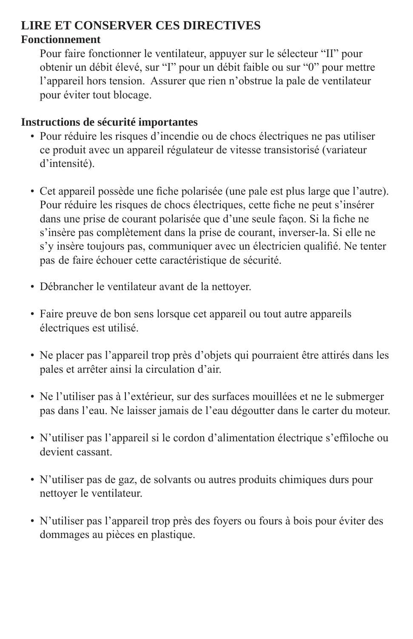## **LIRE ET CONSERVER CES DIRECTIVES**

#### **Fonctionnement**

 Pour faire fonctionner le ventilateur, appuyer sur le sélecteur "II" pour obtenir un débit élevé, sur "I" pour un débit faible ou sur "0" pour mettre l'appareil hors tension. Assurer que rien n'obstrue la pale de ventilateur pour éviter tout blocage.

#### **Instructions de sécurité importantes**

- Pour réduire les risques d'incendie ou de chocs électriques ne pas utiliser ce produit avec un appareil régulateur de vitesse transistorisé (variateur d'intensité).
- Cet appareil possède une fiche polarisée (une pale est plus large que l'autre). Pour réduire les risques de chocs électriques, cette fiche ne peut s'insérer dans une prise de courant polarisée que d'une seule façon. Si la fiche ne <sup>s</sup>'insère pas complètement dans la prise de courant, inverser-la. Si elle ne s'y insère toujours pas, communiquer avec un électricien qualifié. Ne tenter pas de faire échouer cette caractéristique de sécurité.
	- Débrancher le ventilateur avant de la nettoyer.
	- Faire preuve de bon sens lorsque cet appareil ou tout autre appareils électriques est utilisé.
	- Ne placer pas l'appareil trop près d'objets qui pourraient être attirés dans les pales et arrêter ainsi la circulation d'air.
	- Ne l'utiliser pas à l'extérieur, sur des surfaces mouillées et ne le submerger pas dans l'eau. Ne laisser jamais de l'eau dégoutter dans le carter du moteur.
	- N'utiliser pas l'appareil si le cordon d'alimentation électrique s'effiloche ou devient cassant.
	- N'utiliser pas de gaz, de solvants ou autres produits chimiques durs pour nettoyer le ventilateur.
	- N'utiliser pas l'appareil trop près des foyers ou fours à bois pour éviter des dommages au pièces en plastique.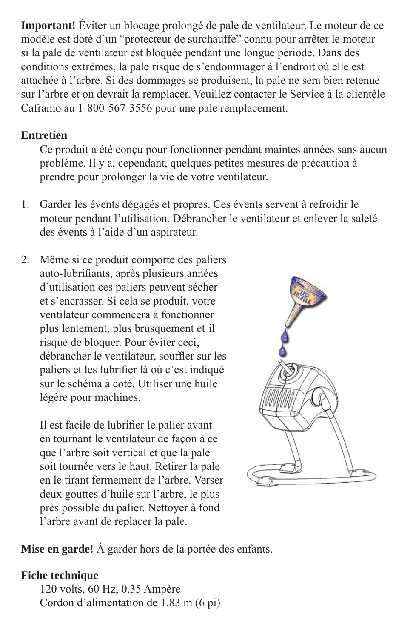**Important!** Éviter un blocage prolongé de pale de ventilateur. Le moteur de ce modèle est doté d'un "protecteur de surchauffe" connu pour arrêter le moteur si la pale de ventilateur est bloquée pendant une longue période. Dans des conditions extrêmes, la pale risque de s'endommager à l'endroit où elle est attachée à l'arbre. Si des dommages se produisent, la pale ne sera bien retenue sur l'arbre et on devrait la remplacer. Veuillez contacter le Service à la clientèle Caframo au 1-800-567-3556 pour une pale remplacement.

#### **Entretien**

 Ce produit a été conçu pour fonctionner pendant maintes années sans aucun problème. Il y a, cependant, quelques petites mesures de précaution à prendre pour prolonger la vie de votre ventilateur.

- 1. Garder les évents dégagés et propres. Ces évents servent à refroidir le moteur pendant l'utilisation. Débrancher le ventilateur et enlever la saleté des évents à l'aide d'un aspirateur.
- 2. Même si ce produit comporte des paliers auto-lubrifiants, après plusieurs années d'utilisation ces paliers peuvent sécher et s'encrasser. Si cela se produit, votre ventilateur commencera à fonctionner plus lentement, plus brusquement et il risque de bloquer. Pour éviter ceci, débrancher le ventilateur, souffler sur les paliers et les lubrifier là où c'est indiqué sur le schéma à coté. Utiliser une huile légère pour machines.

Il est facile de lubrifier le palier avant en tournant le ventilateur de façon à ce que l'arbre soit vertical et que la pale soit tournée vers le haut. Retirer la pale en le tirant fermement de l'arbre. Verser deux gouttes d'huile sur l'arbre, le plus près possible du palier. Nettoyer à fond l'arbre avant de replacer la pale.



**Mise en garde!** À garder hors de la portée des enfants.

#### **Fiche technique**

 120 volts, 60 Hz, 0.35 Ampère Cordon d'alimentation de 1.83 m (6 pi)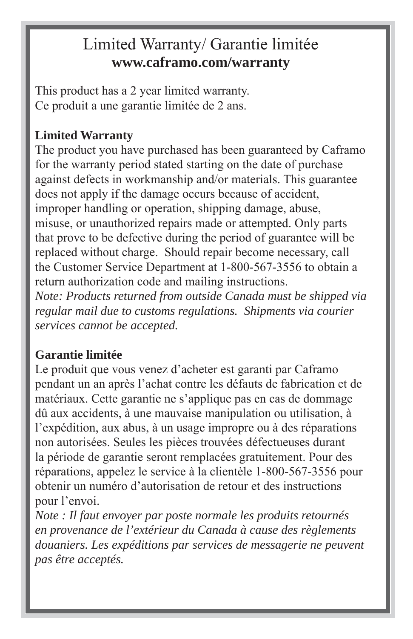## Limited Warranty/ Garantie limitée **www.caframo.com/warranty**

This product has a 2 year limited warranty. Ce produit a une garantie limitée de 2 ans.

## **Limited Warranty**

The product you have purchased has been guaranteed by Caframo for the warranty period stated starting on the date of purchase against defects in workmanship and/or materials. This guarantee does not apply if the damage occurs because of accident, improper handling or operation, shipping damage, abuse, misuse, or unauthorized repairs made or attempted. Only parts that prove to be defective during the period of guarantee will be replaced without charge. Should repair become necessary, call the Customer Service Department at 1-800-567-3556 to obtain a return authorization code and mailing instructions.

*Note: Products returned from outside Canada must be shipped via regular mail due to customs regulations. Shipments via courier services cannot be accepted.*

### **Garantie limitée**

Le produit que vous venez d'acheter est garanti par Caframo pendant un an après l'achat contre les défauts de fabrication et de matériaux. Cette garantie ne s'applique pas en cas de dommage dû aux accidents, à une mauvaise manipulation ou utilisation, à l'expédition, aux abus, à un usage impropre ou à des réparations non autorisées. Seules les pièces trouvées défectueuses durant la période de garantie seront remplacées gratuitement. Pour des réparations, appelez le service à la clientèle 1-800-567-3556 pour obtenir un numéro d'autorisation de retour et des instructions pour l'envoi.

*Note : Il faut envoyer par poste normale les produits retournés en provenance de l'extérieur du Canada à cause des règlements douaniers. Les expéditions par services de messagerie ne peuvent pas être acceptés.*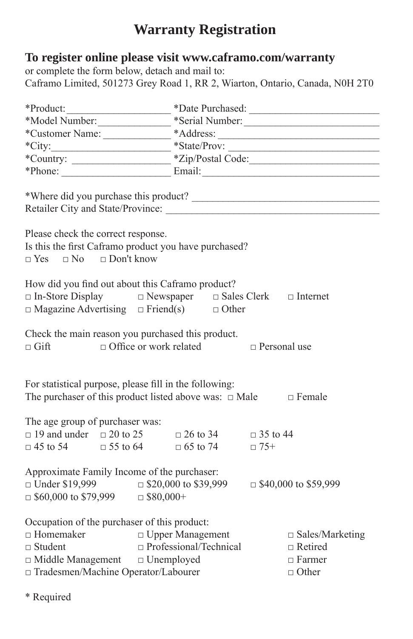## **Warranty Registration**

#### **To register online please visit www.caframo.com/warranty**

or complete the form below, detach and mail to: Caframo Limited, 501273 Grey Road 1, RR 2, Wiarton, Ontario, Canada, N0H 2T0

|                                                                                                                                                                                                                      |                          |  | *Date Purchased:                                                          |  |
|----------------------------------------------------------------------------------------------------------------------------------------------------------------------------------------------------------------------|--------------------------|--|---------------------------------------------------------------------------|--|
| *Model Number:                                                                                                                                                                                                       |                          |  | *Serial Number:                                                           |  |
|                                                                                                                                                                                                                      |                          |  |                                                                           |  |
| $*City:$                                                                                                                                                                                                             | $*State/Prov:$           |  |                                                                           |  |
|                                                                                                                                                                                                                      |                          |  |                                                                           |  |
|                                                                                                                                                                                                                      |                          |  |                                                                           |  |
|                                                                                                                                                                                                                      |                          |  |                                                                           |  |
| Please check the correct response.<br>Is this the first Caframo product you have purchased?<br>$\Box$ Yes $\Box$ No $\Box$ Don't know                                                                                |                          |  |                                                                           |  |
| How did you find out about this Caframo product?<br>$\square$<br>In-Store Display $\square$<br>Newspaper $\square$<br>Sales Clerk $\square$<br>Internet<br>$\Box$ Magazine Advertising $\Box$ Friend(s) $\Box$ Other |                          |  |                                                                           |  |
| Check the main reason you purchased this product.<br>$\Box$ Office or work related $\Box$ Personal use<br>$\sqcap$ Gift                                                                                              |                          |  |                                                                           |  |
| For statistical purpose, please fill in the following:<br>The purchaser of this product listed above was: $\Box$ Male $\Box$ Female                                                                                  |                          |  |                                                                           |  |
| The age group of purchaser was:<br>$\Box$ 19 and under $\Box$ 20 to 25 $\Box$ 26 to 34 $\Box$ 35 to 44<br>$\Box$ 45 to 54 $\Box$ 55 to 64 $\Box$ 65 to 74 $\Box$ 75+                                                 |                          |  |                                                                           |  |
| Approximate Family Income of the purchaser:<br>$\Box$ Under \$19,999 $\Box$ \$20,000 to \$39,999 $\Box$ \$40,000 to \$59,999<br>$\Box$ \$60,000 to \$79,999 $\Box$ \$80,000+                                         |                          |  |                                                                           |  |
| Occupation of the purchaser of this product:<br>$\hfill \Box$<br>Homemaker $\hfill \Box$<br>Upper Management<br>$\Box$ Student<br>□ Middle Management □ Unemployed<br>□ Tradesmen/Machine Operator/Labourer          | □ Professional/Technical |  | $\Box$ Sales/Marketing<br>$\Box$ Retired<br>$\Box$ Farmer<br>$\Box$ Other |  |

\* Required